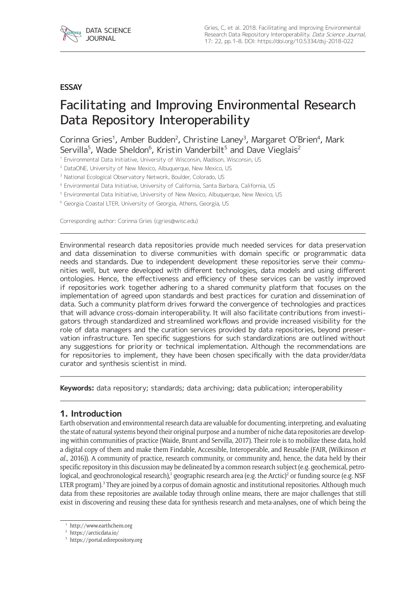

#### **ESSAY**

# Facilitating and Improving Environmental Research Data Repository Interoperability

Corinna Gries<sup>1</sup>, Amber Budden<sup>2</sup>, Christine Laney<sup>3</sup>, Margaret O'Brien<sup>4</sup>, Mark Servilla<sup>5</sup>, Wade Sheldon<sup>6</sup>, Kristin Vanderbilt<sup>5</sup> and Dave Vieglais<sup>2</sup>

<sup>1</sup> Environmental Data Initiative, University of Wisconsin, Madison, Wisconsin, US

<sup>2</sup> DataONE, University of New Mexico, Albuquerque, New Mexico, US

<sup>3</sup> National Ecological Observatory Network, Boulder, Colorado, US

<sup>4</sup> Environmental Data Initiative, University of California, Santa Barbara, California, US

<sup>5</sup> Environmental Data Initiative, University of New Mexico, Albuquerque, New Mexico, US

<sup>6</sup> Georgia Coastal LTER, University of Georgia, Athens, Georgia, US

Corresponding author: Corinna Gries ([cgries@wisc.edu](mailto:cgries@wisc.edu))

Environmental research data repositories provide much needed services for data preservation and data dissemination to diverse communities with domain specific or programmatic data needs and standards. Due to independent development these repositories serve their communities well, but were developed with different technologies, data models and using different ontologies. Hence, the effectiveness and efficiency of these services can be vastly improved if repositories work together adhering to a shared community platform that focuses on the implementation of agreed upon standards and best practices for curation and dissemination of data. Such a community platform drives forward the convergence of technologies and practices that will advance cross-domain interoperability. It will also facilitate contributions from investigators through standardized and streamlined workflows and provide increased visibility for the role of data managers and the curation services provided by data repositories, beyond preservation infrastructure. Ten specific suggestions for such standardizations are outlined without any suggestions for priority or technical implementation. Although the recommendations are for repositories to implement, they have been chosen specifically with the data provider/data curator and synthesis scientist in mind.

**Keywords:** data repository; standards; data archiving; data publication; interoperability

#### **1. Introduction**

Earth observation and environmental research data are valuable for documenting, interpreting, and evaluating the state of natural systems beyond their original purpose and a number of niche data repositories are developing within communities of practice (Waide, Brunt and Servilla, 2017). Their role is to mobilize these data, hold a digital copy of them and make them Findable, Accessible, Interoperable, and Reusable (FAIR, (Wilkinson *et al.*, 2016)). A community of practice, research community, or community and, hence, the data held by their specific repository in this discussion may be delineated by a common research subject (e.g. geochemical, petrological, and geochronological research),<sup>1</sup> geographic research area (e.g. the Arctic)<sup>2</sup> or funding source (e.g. NSF LTER program).<sup>3</sup> They are joined by a corpus of domain agnostic and institutional repositories. Although much data from these repositories are available today through online means, there are major challenges that still exist in discovering and reusing these data for synthesis research and meta-analyses, one of which being the

<sup>1</sup> <http://www.earthchem.org>

<sup>2</sup> <https://arcticdata.io/>

<sup>3</sup> <https://portal.edirepository.org>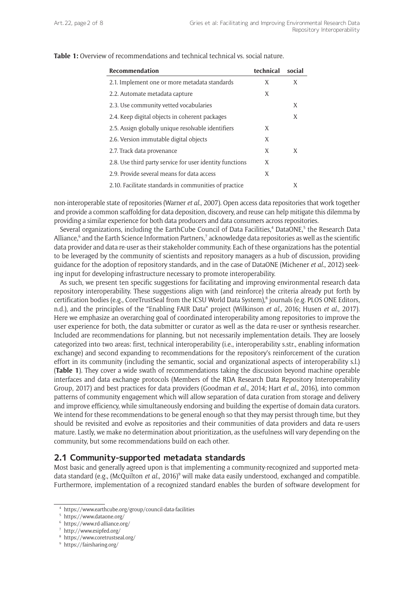| Recommendation                                           | technical | social |
|----------------------------------------------------------|-----------|--------|
| 2.1. Implement one or more metadata standards            | X         | X      |
| 2.2. Automate metadata capture                           | X         |        |
| 2.3. Use community vetted vocabularies                   |           | X      |
| 2.4. Keep digital objects in coherent packages           |           | X      |
| 2.5. Assign globally unique resolvable identifiers       | X         |        |
| 2.6. Version immutable digital objects                   | X         |        |
| 2.7. Track data provenance                               | X         | X      |
| 2.8. Use third party service for user identity functions | X         |        |
| 2.9. Provide several means for data access               | X         |        |
| 2.10. Facilitate standards in communities of practice    |           | X      |

**Table 1:** Overview of recommendations and technical technical vs. social nature.

non-interoperable state of repositories (Warner *et al.*, 2007). Open access data repositories that work together and provide a common scaffolding for data deposition, discovery, and reuse can help mitigate this dilemma by providing a similar experience for both data producers and data consumers across repositories.

Several organizations, including the EarthCube Council of Data Facilities,<sup>4</sup> DataONE,<sup>5</sup> the Research Data Alliance,<sup>6</sup> and the Earth Science Information Partners,<sup>7</sup> acknowledge data repositories as well as the scientific data provider and data re-user as their stakeholder community. Each of these organizations has the potential to be leveraged by the community of scientists and repository managers as a hub of discussion, providing guidance for the adoption of repository standards, and in the case of DataONE (Michener *et al.*, 2012) seeking input for developing infrastructure necessary to promote interoperability.

As such, we present ten specific suggestions for facilitating and improving environmental research data repository interoperability. These suggestions align with (and reinforce) the criteria already put forth by certification bodies (e.g., CoreTrustSeal from the ICSU World Data System),<sup>8</sup> journals (e.g. PLOS ONE Editors, n.d.), and the principles of the "Enabling FAIR Data" project (Wilkinson *et al.*, 2016; Husen *et al.*, 2017). Here we emphasize an overarching goal of coordinated interoperability among repositories to improve the user experience for both, the data submitter or curator as well as the data re-user or synthesis researcher. Included are recommendations for planning, but not necessarily implementation details. They are loosely categorized into two areas: first, technical interoperability (i.e., interoperability s.str., enabling information exchange) and second expanding to recommendations for the repository's reinforcement of the curation effort in its community (including the semantic, social and organizational aspects of interoperability s.l.) (**Table 1**). They cover a wide swath of recommendations taking the discussion beyond machine operable interfaces and data exchange protocols (Members of the RDA Research Data Repository Interoperability Group, 2017) and best practices for data providers (Goodman *et al.*, 2014; Hart *et al.*, 2016), into common patterns of community engagement which will allow separation of data curation from storage and delivery and improve efficiency, while simultaneously endorsing and building the expertise of domain data curators. We intend for these recommendations to be general enough so that they may persist through time, but they should be revisited and evolve as repositories and their communities of data providers and data re-users mature. Lastly, we make no determination about prioritization, as the usefulness will vary depending on the community, but some recommendations build on each other.

#### **2.1 Community-supported metadata standards**

Most basic and generally agreed upon is that implementing a community-recognized and supported metadata standard (e.g., (McQuilton *et al.*, 2016)<sup>9</sup> will make data easily understood, exchanged and compatible. Furthermore, implementation of a recognized standard enables the burden of software development for

<sup>4</sup> <https://www.earthcube.org/group/council-data-facilities>

<sup>5</sup> <https://www.dataone.org/>

<sup>6</sup> <https://www.rd-alliance.org/>

<sup>7</sup> <http://www.esipfed.org/>

<sup>8</sup> <https://www.coretrustseal.org/>

<sup>9</sup> <https://fairsharing.org/>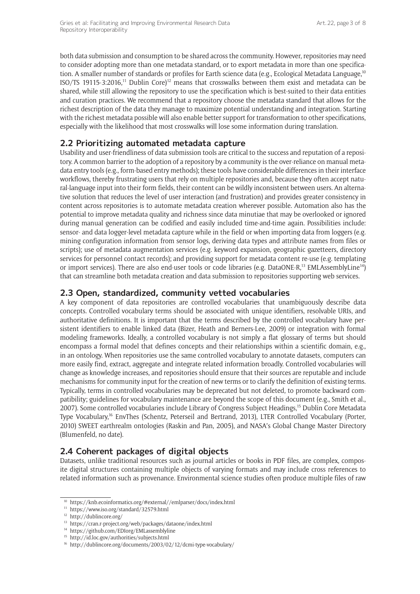both data submission and consumption to be shared across the community. However, repositories may need to consider adopting more than one metadata standard, or to export metadata in more than one specification. A smaller number of standards or profiles for Earth science data (e.g., Ecological Metadata Language,<sup>10</sup> ISO/TS 19115-3:2016,<sup>11</sup> Dublin Core)<sup>12</sup> means that crosswalks between them exist and metadata can be shared, while still allowing the repository to use the specification which is best-suited to their data entities and curation practices. We recommend that a repository choose the metadata standard that allows for the richest description of the data they manage to maximize potential understanding and integration. Starting with the richest metadata possible will also enable better support for transformation to other specifications, especially with the likelihood that most crosswalks will lose some information during translation.

# **2.2 Prioritizing automated metadata capture**

Usability and user-friendliness of data submission tools are critical to the success and reputation of a repository. A common barrier to the adoption of a repository by a community is the over-reliance on manual metadata entry tools (e.g., form-based entry methods); these tools have considerable differences in their interface workflows, thereby frustrating users that rely on multiple repositories and, because they often accept natural-language input into their form fields, their content can be wildly inconsistent between users. An alternative solution that reduces the level of user interaction (and frustration) and provides greater consistency in content across repositories is to automate metadata creation wherever possible. Automation also has the potential to improve metadata quality and richness since data minutiae that may be overlooked or ignored during manual generation can be codified and easily included time-and-time again. Possibilities include: sensor- and data logger-level metadata capture while in the field or when importing data from loggers (e.g. mining configuration information from sensor logs, deriving data types and attribute names from files or scripts); use of metadata augmentation services (e.g. keyword expansion, geographic gazetteers, directory services for personnel contact records); and providing support for metadata content re-use (e.g. templating or import services). There are also end-user tools or code libraries (e.g. DataONE-R,<sup>13</sup> EMLAssemblyLine<sup>14</sup>) that can streamline both metadata creation and data submission to repositories supporting web services.

## **2.3 Open, standardized, community vetted vocabularies**

A key component of data repositories are controlled vocabularies that unambiguously describe data concepts. Controlled vocabulary terms should be associated with unique identifiers, resolvable URIs, and authoritative definitions. It is important that the terms described by the controlled vocabulary have persistent identifiers to enable linked data (Bizer, Heath and Berners-Lee, 2009) or integration with formal modeling frameworks. Ideally, a controlled vocabulary is not simply a flat glossary of terms but should encompass a formal model that defines concepts and their relationships within a scientific domain, e.g., in an ontology. When repositories use the same controlled vocabulary to annotate datasets, computers can more easily find, extract, aggregate and integrate related information broadly. Controlled vocabularies will change as knowledge increases, and repositories should ensure that their sources are reputable and include mechanisms for community input for the creation of new terms or to clarify the definition of existing terms. Typically, terms in controlled vocabularies may be deprecated but not deleted, to promote backward compatibility; guidelines for vocabulary maintenance are beyond the scope of this document (e.g., Smith et al., 2007). Some controlled vocabularies include Library of Congress Subject Headings,<sup>15</sup> Dublin Core Metadata Type Vocabulary,<sup>16</sup> EnvThes (Schentz, Peterseil and Bertrand, 2013), LTER Controlled Vocabulary (Porter, 2010) SWEET earthrealm ontologies (Raskin and Pan, 2005), and NASA's Global Change Master Directory (Blumenfeld, no date).

# **2.4 Coherent packages of digital objects**

Datasets, unlike traditional resources such as journal articles or books in PDF files, are complex, composite digital structures containing multiple objects of varying formats and may include cross references to related information such as provenance. Environmental science studies often produce multiple files of raw

 $^{10}\,$ <https://knb.ecoinformatics.org/#external//emlparser/docs/index.html>

<sup>11</sup> <https://www.iso.org/standard/32579.html>

<sup>12</sup> <http://dublincore.org/>

<sup>13</sup> <https://cran.r-project.org/web/packages/dataone/index.html>

<sup>14</sup> <https://github.com/EDIorg/EMLassemblyline>

<sup>15</sup> <http://id.loc.gov/authorities/subjects.html>

<sup>16</sup> <http://dublincore.org/documents/2003/02/12/dcmi-type-vocabulary/>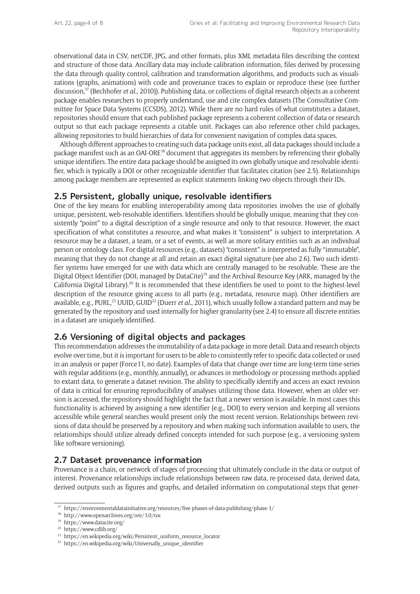observational data in CSV, netCDF, JPG, and other formats, plus XML metadata files describing the context and structure of those data. Ancillary data may include calibration information, files derived by processing the data through quality control, calibration and transformation algorithms, and products such as visualizations (graphs, animations) with code and provenance traces to explain or reproduce these (see further discussion,<sup>17</sup> (Bechhofer *et al.*, 2010)). Publishing data, or collections of digital research objects as a coherent package enables researchers to properly understand, use and cite complex datasets (The Consultative Committee for Space Data Systems (CCSDS), 2012). While there are no hard rules of what constitutes a dataset, repositories should ensure that each published package represents a coherent collection of data or research output so that each package represents a citable unit. Packages can also reference other child packages, allowing repositories to build hierarchies of data for convenient navigation of complex data spaces.

Although different approaches to creating such data package units exist, all data packages should include a package manifest such as an OAI-ORE<sup>18</sup> document that aggregates its members by referencing their globally unique identifiers. The entire data package should be assigned its own globally unique and resolvable identifier, which is typically a DOI or other recognizable identifier that facilitates citation (see 2.5). Relationships among package members are represented as explicit statements linking two objects through their IDs.

## **2.5 Persistent, globally unique, resolvable identifiers**

One of the key means for enabling interoperability among data repositories involves the use of globally unique, persistent, web-resolvable identifiers. Identifiers should be globally unique, meaning that they consistently "point" to a digital description of a single resource and only to that resource. However, the exact specification of what constitutes a resource, and what makes it "consistent" is subject to interpretation. A resource may be a dataset, a team, or a set of events, as well as more solitary entities such as an individual person or ontology class. For digital resources (e.g., datasets) "consistent" is interpreted as fully "immutable", meaning that they do not change at all and retain an exact digital signature (see also 2.6). Two such identifier systems have emerged for use with data which are centrally managed to be resolvable. These are the Digital Object Identifier (DOI, managed by DataCite)<sup>19</sup> and the Archival Resource Key (ARK, managed by the California Digital Library).<sup>20</sup> It is recommended that these identifiers be used to point to the highest-level description of the resource giving access to all parts (e.g., metadata, resource map). Other identifiers are available, e.g., PURL,<sup>21</sup> UUID, GUID<sup>22</sup> (Duerr *et al.*, 2011), which usually follow a standard pattern and may be generated by the repository and used internally for higher granularity (see 2.4) to ensure all discrete entities in a dataset are uniquely identified.

## **2.6 Versioning of digital objects and packages**

This recommendation addresses the immutability of a data package in more detail. Data and research objects evolve over time, but it is important for users to be able to consistently refer to specific data collected or used in an analysis or paper (Force11, no date). Examples of data that change over time are long-term time-series with regular additions (e.g., monthly, annually), or advances in methodology or processing methods applied to extant data, to generate a dataset revision. The ability to specifically identify and access an exact revision of data is critical for ensuring reproducibility of analyses utilizing those data. However, when an older version is accessed, the repository should highlight the fact that a newer version is available. In most cases this functionality is achieved by assigning a new identifier (e.g., DOI) to every version and keeping all versions accessible while general searches would present only the most recent version. Relationships between revisions of data should be preserved by a repository and when making such information available to users, the relationships should utilize already defined concepts intended for such purpose (e.g., a versioning system like software versioning).

#### **2.7 Dataset provenance information**

Provenance is a chain, or network of stages of processing that ultimately conclude in the data or output of interest. Provenance relationships include relationships between raw data, re-processed data, derived data, derived outputs such as figures and graphs, and detailed information on computational steps that gener-

<sup>&</sup>lt;sup>17</sup> <https://environmentaldatainitiative.org/resources/five-phases-of-data-publishing/phase-1/>

<sup>18</sup> <http://www.openarchives.org/ore/1.0/toc>

<sup>19</sup> <https://www.datacite.org/>

<sup>20</sup> <https://www.cdlib.org/>

<sup>21</sup> [https://en.wikipedia.org/wiki/Persistent\\_uniform\\_resource\\_locator](https://en.wikipedia.org/wiki/Persistent_uniform_resource_locator)

<sup>22</sup> [https://en.wikipedia.org/wiki/Universally\\_unique\\_identifier](https://en.wikipedia.org/wiki/Universally_unique_identifier)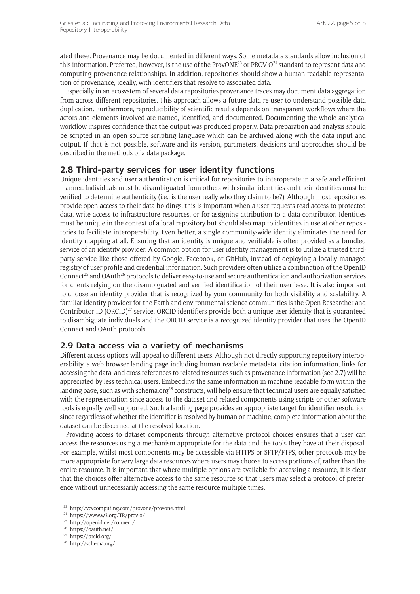ated these. Provenance may be documented in different ways. Some metadata standards allow inclusion of this information. Preferred, however, is the use of the ProvONE<sup>23</sup> or PROV-O<sup>24</sup> standard to represent data and computing provenance relationships. In addition, repositories should show a human readable representation of provenance, ideally, with identifiers that resolve to associated data.

Especially in an ecosystem of several data repositories provenance traces may document data aggregation from across different repositories. This approach allows a future data re-user to understand possible data duplication. Furthermore, reproducibility of scientific results depends on transparent workflows where the actors and elements involved are named, identified, and documented. Documenting the whole analytical workflow inspires confidence that the output was produced properly. Data preparation and analysis should be scripted in an open source scripting language which can be archived along with the data input and output. If that is not possible, software and its version, parameters, decisions and approaches should be described in the methods of a data package.

## **2.8 Third-party services for user identity functions**

Unique identities and user authentication is critical for repositories to interoperate in a safe and efficient manner. Individuals must be disambiguated from others with similar identities and their identities must be verified to determine authenticity (i.e., is the user really who they claim to be?). Although most repositories provide open access to their data holdings, this is important when a user requests read access to protected data, write access to infrastructure resources, or for assigning attribution to a data contributor. Identities must be unique in the context of a local repository but should also map to identities in use at other repositories to facilitate interoperability. Even better, a single community-wide identity eliminates the need for identity mapping at all. Ensuring that an identity is unique and verifiable is often provided as a bundled service of an identity provider. A common option for user identity management is to utilize a trusted thirdparty service like those offered by Google, Facebook, or GitHub, instead of deploying a locally managed registry of user profile and credential information. Such providers often utilize a combination of the OpenID Connect<sup>25</sup> and OAuth<sup>26</sup> protocols to deliver easy-to-use and secure authentication and authorization services for clients relying on the disambiguated and verified identification of their user base. It is also important to choose an identity provider that is recognized by your community for both visibility and scalability. A familiar identity provider for the Earth and environmental science communities is the Open Researcher and Contributor ID (ORCID) $^{27}$  service. ORCID identifiers provide both a unique user identity that is guaranteed to disambiguate individuals and the ORCID service is a recognized identity provider that uses the OpenID Connect and OAuth protocols.

## **2.9 Data access via a variety of mechanisms**

Different access options will appeal to different users. Although not directly supporting repository interoperability, a web browser landing page including human readable metadata, citation information, links for accessing the data, and cross references to related resources such as provenance information (see 2.7) will be appreciated by less technical users. Embedding the same information in machine readable form within the landing page, such as with schema.org<sup>28</sup> constructs, will help ensure that technical users are equally satisfied with the representation since access to the dataset and related components using scripts or other software tools is equally well supported. Such a landing page provides an appropriate target for identifier resolution since regardless of whether the identifier is resolved by human or machine, complete information about the dataset can be discerned at the resolved location.

Providing access to dataset components through alternative protocol choices ensures that a user can access the resources using a mechanism appropriate for the data and the tools they have at their disposal. For example, whilst most components may be accessible via HTTPS or SFTP/FTPS, other protocols may be more appropriate for very large data resources where users may choose to access portions of, rather than the entire resource. It is important that where multiple options are available for accessing a resource, it is clear that the choices offer alternative access to the same resource so that users may select a protocol of preference without unnecessarily accessing the same resource multiple times.

<sup>23</sup> <http://vcvcomputing.com/provone/provone.html>

<sup>24</sup> <https://www.w3.org/TR/prov-o/>

<sup>25</sup> <http://openid.net/connect/>

<sup>26</sup> <https://oauth.net/>

<sup>27</sup> <https://orcid.org/>

<sup>28</sup> <http://schema.org/>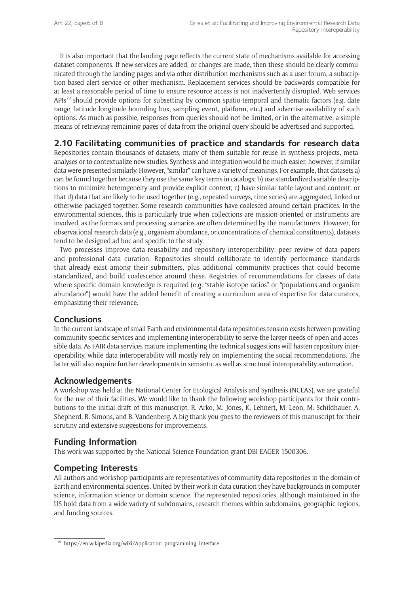It is also important that the landing page reflects the current state of mechanisms available for accessing dataset components. If new services are added, or changes are made, then these should be clearly communicated through the landing pages and via other distribution mechanisms such as a user forum, a subscription-based alert service or other mechanism. Replacement services should be backwards compatible for at least a reasonable period of time to ensure resource access is not inadvertently disrupted. Web services APIs<sup>29</sup> should provide options for subsetting by common spatio-temporal and thematic factors (e.g. date range, latitude longitude bounding box, sampling event, platform, etc.) and advertise availability of such options. As much as possible, responses from queries should not be limited, or in the alternative, a simple means of retrieving remaining pages of data from the original query should be advertised and supported.

# **2.10 Facilitating communities of practice and standards for research data**

Repositories contain thousands of datasets, many of them suitable for reuse in synthesis projects, metaanalyses or to contextualize new studies. Synthesis and integration would be much easier, however, if similar data were presented similarly. However, "similar" can have a variety of meanings. For example, that datasets a) can be found together because they use the same key terms in catalogs; b) use standardized variable descriptions to minimize heterogeneity and provide explicit context; c) have similar table layout and content; or that d) data that are likely to be used together (e.g., repeated surveys, time series) are aggregated, linked or otherwise packaged together. Some research communities have coalesced around certain practices. In the environmental sciences, this is particularly true when collections are mission-oriented or instruments are involved, as the formats and processing scenarios are often determined by the manufacturers. However, for observational research data (e.g., organism abundance, or concentrations of chemical constituents), datasets tend to be designed ad hoc and specific to the study.

Two processes improve data reusability and repository interoperability: peer review of data papers and professional data curation. Repositories should collaborate to identify performance standards that already exist among their submitters, plus additional community practices that could become standardized, and build coalescence around these. Registries of recommendations for classes of data where specific domain knowledge is required (e.g. "stable isotope ratios" or "populations and organism abundance") would have the added benefit of creating a curriculum area of expertise for data curators, emphasizing their relevance.

#### **Conclusions**

In the current landscape of small Earth and environmental data repositories tension exists between providing community specific services and implementing interoperability to serve the larger needs of open and accessible data. As FAIR data services mature implementing the technical suggestions will hasten repository interoperability, while data interoperability will mostly rely on implementing the social recommendations. The latter will also require further developments in semantic as well as structural interoperability automation.

#### **Acknowledgements**

A workshop was held at the National Center for Ecological Analysis and Synthesis (NCEAS), we are grateful for the use of their facilities. We would like to thank the following workshop participants for their contributions to the initial draft of this manuscript, R. Arko, M. Jones, K. Lehnert, M. Leon, M. Schildhauer, A. Shepherd, R. Simons, and B. Vandenberg. A big thank you goes to the reviewers of this manuscript for their scrutiny and extensive suggestions for improvements.

#### **Funding Information**

This work was supported by the National Science Foundation grant DBI-EAGER 1500306.

#### **Competing Interests**

All authors and workshop participants are representatives of community data repositories in the domain of Earth and environmental sciences. United by their work in data curation they have backgrounds in computer science, information science or domain science. The represented repositories, although maintained in the US hold data from a wide variety of subdomains, research themes within subdomains, geographic regions, and funding sources.

<sup>29</sup> [https://en.wikipedia.org/wiki/Application\\_programming\\_interface](https://en.wikipedia.org/wiki/Application_programming_interface)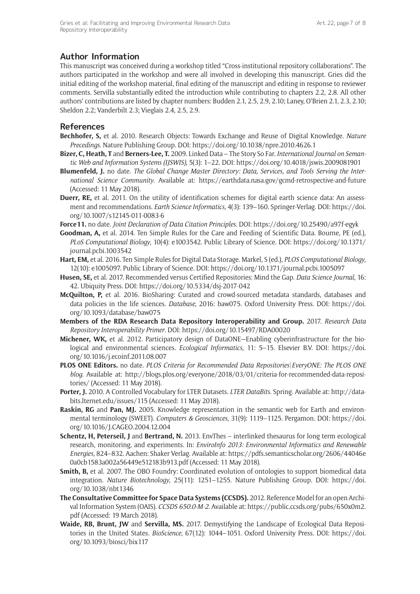## **Author Information**

This manuscript was conceived during a workshop titled "Cross-institutional repository collaborations". The authors participated in the workshop and were all involved in developing this manuscript. Gries did the initial editing of the workshop material, final editing of the manuscript and editing in response to reviewer comments. Servilla substantially edited the introduction while contributing to chapters 2.2, 2.8. All other authors' contributions are listed by chapter numbers: Budden 2.1, 2.5, 2.9, 2.10; Laney, O'Brien 2.1, 2.3, 2.10; Sheldon 2.2; Vanderbilt 2.3; Vieglais 2.4, 2.5, 2.9.

#### **References**

- **Bechhofer, S,** et al. 2010. Research Objects: Towards Exchange and Reuse of Digital Knowledge. *Nature Precedings*. Nature Publishing Group. DOI: <https://doi.org/10.1038/npre.2010.4626.1>
- **Bizer, C, Heath, T** and **Berners-Lee, T.** 2009. Linked Data The Story So Far. *International Journal on Semantic Web and Information Systems (IJSWIS)*, 5(3): 1–22. DOI:<https://doi.org/10.4018/jswis.2009081901>
- **Blumenfeld, J.** no date. *The Global Change Master Directory: Data, Services, and Tools Serving the International Science Community*. Available at: <https://earthdata.nasa.gov/gcmd-retrospective-and-future> (Accessed: 11 May 2018).
- **Duerr, RE,** et al. 2011. On the utility of identification schemes for digital earth science data: An assessment and recommendations. *Earth Science Informatics*, 4(3): 139–160. Springer-Verlag. DOI: [https://doi.](https://doi.org/10.1007/s12145-011-0083-6) [org/10.1007/s12145-011-0083-6](https://doi.org/10.1007/s12145-011-0083-6)
- **Force11.** no date. *Joint Declaration of Data Citation Principles*. DOI:<https://doi.org/10.25490/a97f-egyk>
- **Goodman, A,** et al. 2014. Ten Simple Rules for the Care and Feeding of Scientific Data. Bourne, PE (ed.), *PLoS Computational Biology*, 10(4): e1003542. Public Library of Science. DOI: [https://doi.org/10.1371/](https://doi.org/10.1371/journal.pcbi.1003542) [journal.pcbi.1003542](https://doi.org/10.1371/journal.pcbi.1003542)
- **Hart, EM,** et al. 2016. Ten Simple Rules for Digital Data Storage. Markel, S (ed.), *PLOS Computational Biology*, 12(10): e1005097. Public Library of Science. DOI: <https://doi.org/10.1371/journal.pcbi.1005097>
- **Husen, SE,** et al. 2017. Recommended versus Certified Repositories: Mind the Gap. *Data Science Journal*, 16: 42. Ubiquity Press. DOI:<https://doi.org/10.5334/dsj-2017-042>
- **McQuilton, P,** et al. 2016. BioSharing: Curated and crowd-sourced metadata standards, databases and data policies in the life sciences. *Database*, 2016: baw075. Oxford University Press. DOI: [https://doi.](https://doi.org/10.1093/database/baw075) [org/10.1093/database/baw075](https://doi.org/10.1093/database/baw075)
- **Members of the RDA Research Data Repository Interoperability and Group.** 2017. *Research Data Repository Interoperability Primer*. DOI:<https://doi.org/10.15497/RDA00020>
- **Michener, WK,** et al. 2012. Participatory design of DataONE—Enabling cyberinfrastructure for the biological and environmental sciences. *Ecological Informatics*, 11: 5–15. Elsevier B.V. DOI: [https://doi.](https://doi.org/10.1016/j.ecoinf.2011.08.007) [org/10.1016/j.ecoinf.2011.08.007](https://doi.org/10.1016/j.ecoinf.2011.08.007)
- **PLOS ONE Editors.** no date. *PLOS Criteria for Recommended Data Repositories|EveryONE: The PLOS ONE blog*. Available at: [http://blogs.plos.org/everyone/2018/03/01/criteria-for-recommended-data-reposi](http://blogs.plos.org/everyone/2018/03/01/criteria-for-recommended-data-repositories/)[tories/](http://blogs.plos.org/everyone/2018/03/01/criteria-for-recommended-data-repositories/) (Accessed: 11 May 2018).
- **Porter, J.** 2010. A Controlled Vocabulary for LTER Datasets. *LTER DataBits*. Spring. Available at: [http://data](http://databits.lternet.edu/issues/115)[bits.lternet.edu/issues/115](http://databits.lternet.edu/issues/115) (Accessed: 11 May 2018).
- **Raskin, RG** and **Pan, MJ.** 2005. Knowledge representation in the semantic web for Earth and environmental terminology (SWEET). *Computers & Geosciences*, 31(9): 1119–1125. Pergamon. DOI: [https://doi.](https://doi.org/10.1016/J.CAGEO.2004.12.004) [org/10.1016/J.CAGEO.2004.12.004](https://doi.org/10.1016/J.CAGEO.2004.12.004)
- **Schentz, H, Peterseil, J** and **Bertrand, N.** 2013. EnvThes interlinked thesaurus for long term ecological research, monitoring, and experiments. In: *EnviroInfo 2013: Environmental Informatics and Renewable Energies*, 824–832. Aachen: Shaker Verlag. Available at: [https://pdfs.semanticscholar.org/2606/44046e](https://pdfs.semanticscholar.org/2606/44046e0a0cb1583a002a56449e512183b913.pdf) [0a0cb1583a002a56449e512183b913.pdf](https://pdfs.semanticscholar.org/2606/44046e0a0cb1583a002a56449e512183b913.pdf) (Accessed: 11 May 2018).
- **Smith, B,** et al. 2007. The OBO Foundry: Coordinated evolution of ontologies to support biomedical data integration. *Nature Biotechnology*, 25(11): 1251–1255. Nature Publishing Group. DOI: [https://doi.](https://doi.org/10.1038/nbt1346) [org/10.1038/nbt1346](https://doi.org/10.1038/nbt1346)
- **The Consultative Committee for Space Data Systems (CCSDS).** 2012. Reference Model for an open Archival Information System (OAIS). *CCSDS 650.0-M-2*. Available at: [https://public.ccsds.org/pubs/650x0m2.](https://public.ccsds.org/pubs/650x0m2.pdf) [pdf](https://public.ccsds.org/pubs/650x0m2.pdf) (Accessed: 19 March 2018).
- **Waide, RB, Brunt, JW** and **Servilla, MS.** 2017. Demystifying the Landscape of Ecological Data Repositories in the United States. *BioScience*, 67(12): 1044–1051. Oxford University Press. DOI: [https://doi.](https://doi.org/10.1093/biosci/bix117) [org/10.1093/biosci/bix117](https://doi.org/10.1093/biosci/bix117)